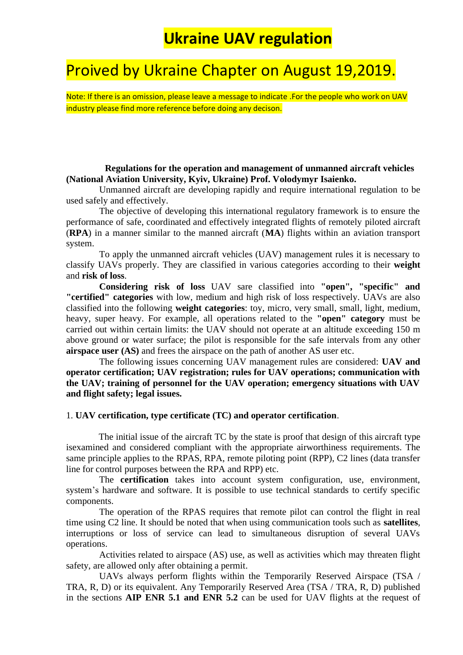## Proived by Ukraine Chapter on August 19,2019.

Note: If there is an omission, please leave a message to indicate .For the people who work on UAV industry please find more reference before doing any decison.

**Regulations for the operation and management of unmanned aircraft vehicles (National Aviation University, Kyiv, Ukraine) Prof. Volodymyr Isaienko.**

Unmanned aircraft are developing rapidly and require international regulation to be used safely and effectively.

The objective of developing this international regulatory framework is to ensure the performance of safe, coordinated and effectively integrated flights of remotely piloted aircraft (**RPA**) in a manner similar to the manned aircraft (**MA**) flights within an aviation transport system.

To apply the unmanned aircraft vehicles (UAV) management rules it is necessary to classify UAVs properly. They are classified in various categories according to their **weight** and **risk of loss**.

**Considering risk of loss** UAV sare classified into **"open", "specific" and "certified" categories** with low, medium and high risk of loss respectively. UAVs are also classified into the following **weight categories**: toy, micro, very small, small, light, medium, heavy, super heavy. For example, all operations related to the **"open" category** must be carried out within certain limits: the UAV should not operate at an altitude exceeding 150 m above ground or water surface; the pilot is responsible for the safe intervals from any other **airspace user (AS)** and frees the airspace on the path of another AS user etc.

The following issues concerning UAV management rules are considered: **UAV and operator certification; UAV registration; rules for UAV operations; communication with the UAV; training of personnel for the UAV operation; emergency situations with UAV and flight safety; legal issues.**

### 1. **UAV certification, type certificate (TC) and operator certification**.

 The initial issue of the aircraft TC by the state is proof that design of this aircraft type isexamined and considered compliant with the appropriate airworthiness requirements. The same principle applies to the RPAS, RPA, remote piloting point (RPP), C2 lines (data transfer line for control purposes between the RPA and RPP) etc.

The **certification** takes into account system configuration, use, environment, system's hardware and software. It is possible to use technical standards to certify specific components.

The operation of the RPAS requires that remote pilot can control the flight in real time using C2 line. It should be noted that when using communication tools such as **satellites**, interruptions or loss of service can lead to simultaneous disruption of several UAVs operations.

Activities related to airspace (AS) use, as well as activities which may threaten flight safety, are allowed only after obtaining a permit.

UAVs always perform flights within the Temporarily Reserved Airspace (TSA / TRA, R, D) or its equivalent. Any Temporarily Reserved Area (TSA / TRA, R, D) published in the sections **AIP ENR 5.1 and ENR 5.2** can be used for UAV flights at the request of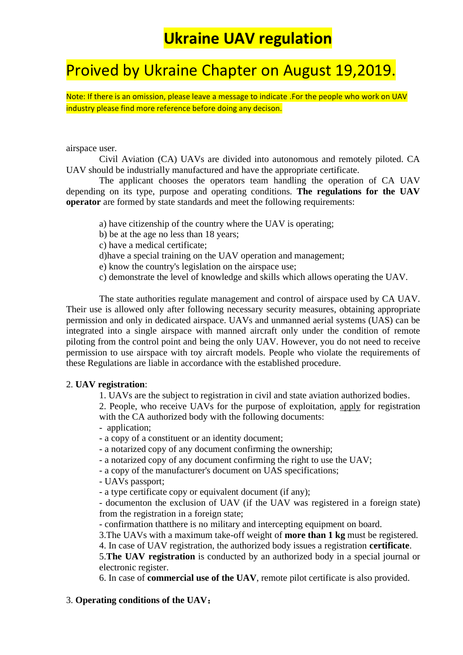## Proived by Ukraine Chapter on August 19,2019.

Note: If there is an omission, please leave a message to indicate .For the people who work on UAV industry please find more reference before doing any decison.

### airspace user.

Civil Aviation (CA) UAVs are divided into autonomous and remotely piloted. CA UAV should be industrially manufactured and have the appropriate certificate.

The applicant chooses the operators team handling the operation of CA UAV depending on its type, purpose and operating conditions. **The regulations for the UAV operator** are formed by state standards and meet the following requirements:

- a) have citizenship of the country where the UAV is operating;
- b) be at the age no less than 18 years;
- c) have a medical certificate;
- d)have a special training on the UAV operation and management;
- e) know the country's legislation on the airspace use;
- c) demonstrate the level of knowledge and skills which allows operating the UAV.

The state authorities regulate management and control of airspace used by CA UAV. Their use is allowed only after following necessary security measures, obtaining appropriate permission and only in dedicated airspace. UAVs and unmanned aerial systems (UAS) can be integrated into a single airspace with manned aircraft only under the condition of remote piloting from the control point and being the only UAV. However, you do not need to receive permission to use airspace with toy aircraft models. People who violate the requirements of these Regulations are liable in accordance with the established procedure.

### 2. **UAV registration**:

1. UAVs are the subject to registration in civil and state aviation authorized bodies.

2. People, who receive UAVs for the purpose of exploitation, apply for registration with the CA authorized body with the following documents:

- application;
- a copy of a constituent or an identity document;
- a notarized copy of any document confirming the ownership;
- a notarized copy of any document confirming the right to use the UAV;
- a copy of the manufacturer's document on UAS specifications;
- UAVs passport;
- a type certificate copy or equivalent document (if any);
- documenton the exclusion of UAV (if the UAV was registered in a foreign state) from the registration in a foreign state;
- confirmation thatthere is no military and intercepting equipment on board.
- 3.The UAVs with a maximum take-off weight of **more than 1 kg** must be registered.
- 4. In case of UAV registration, the authorized body issues a registration **certificate**.

5.**The UAV registration** is conducted by an authorized body in a special journal or electronic register.

6. In case of **commercial use of the UAV**, remote pilot certificate is also provided.

### 3. **Operating conditions of the UAV**: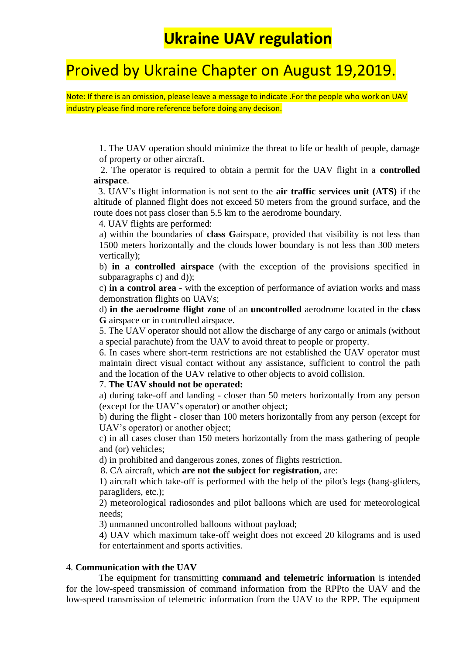## Proived by Ukraine Chapter on August 19,2019.

Note: If there is an omission, please leave a message to indicate .For the people who work on UAV industry please find more reference before doing any decison.

1. The UAV operation should minimize the threat to life or health of people, damage of property or other aircraft.

 2. The operator is required to obtain a permit for the UAV flight in a **controlled airspace**.

 3. UAV's flight information is not sent to the **air traffic services unit (ATS)** if the altitude of planned flight does not exceed 50 meters from the ground surface, and the route does not pass closer than 5.5 km to the aerodrome boundary.

4. UAV flights are performed:

a) within the boundaries of **class G**airspace, provided that visibility is not less than 1500 meters horizontally and the clouds lower boundary is not less than 300 meters vertically);

b) **in a controlled airspace** (with the exception of the provisions specified in subparagraphs c) and d));

c) **in a control area** - with the exception of performance of aviation works and mass demonstration flights on UAVs;

d) **in the aerodrome flight zone** of an **uncontrolled** aerodrome located in the **class G** airspace or in controlled airspace.

5. The UAV operator should not allow the discharge of any cargo or animals (without a special parachute) from the UAV to avoid threat to people or property.

6. In cases where short-term restrictions are not established the UAV operator must maintain direct visual contact without any assistance, sufficient to control the path and the location of the UAV relative to other objects to avoid collision.

#### 7. **The UAV should not be operated:**

a) during take-off and landing - closer than 50 meters horizontally from any person (except for the UAV's operator) or another object;

b) during the flight - closer than 100 meters horizontally from any person (except for UAV's operator) or another object;

c) in all cases closer than 150 meters horizontally from the mass gathering of people and (or) vehicles;

d) in prohibited and dangerous zones, zones of flights restriction.

8. CA aircraft, which **are not the subject for registration**, are:

1) aircraft which take-off is performed with the help of the pilot's legs (hang-gliders, paragliders, etc.);

2) meteorological radiosondes and pilot balloons which are used for meteorological needs;

3) unmanned uncontrolled balloons without payload;

4) UAV which maximum take-off weight does not exceed 20 kilograms and is used for entertainment and sports activities.

### 4. **Communication with the UAV**

 The equipment for transmitting **command and telemetric information** is intended for the low-speed transmission of command information from the RPPto the UAV and the low-speed transmission of telemetric information from the UAV to the RPP. The equipment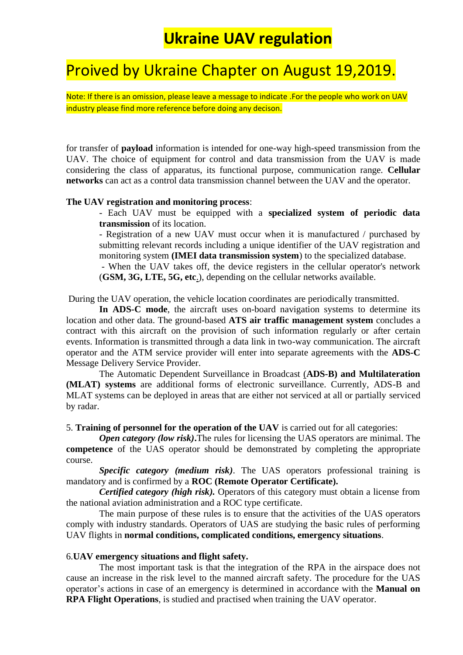## Proived by Ukraine Chapter on August 19,2019.

Note: If there is an omission, please leave a message to indicate .For the people who work on UAV industry please find more reference before doing any decison.

for transfer of **payload** information is intended for one-way high-speed transmission from the UAV. The choice of equipment for control and data transmission from the UAV is made considering the class of apparatus, its functional purpose, communication range. **Cellular networks** can act as a control data transmission channel between the UAV and the operator.

### **The UAV registration and monitoring process**:

- Each UAV must be equipped with a **specialized system of periodic data transmission** of its location.

- Registration of a new UAV must occur when it is manufactured / purchased by submitting relevant records including a unique identifier of the UAV registration and monitoring system **(IMEI data transmission system**) to the specialized database.

- When the UAV takes off, the device registers in the cellular operator's network (**GSM, 3G, LTE, 5G, etc**.), depending on the cellular networks available.

During the UAV operation, the vehicle location coordinates are periodically transmitted.

**In ADS-C mode**, the aircraft uses on-board navigation systems to determine its location and other data. The ground-based **ATS air traffic management system** concludes a contract with this aircraft on the provision of such information regularly or after certain events. Information is transmitted through a data link in two-way communication. The aircraft operator and the ATM service provider will enter into separate agreements with the **ADS-C** Message Delivery Service Provider.

The Automatic Dependent Surveillance in Broadcast (**ADS-B) and Multilateration (MLAT) systems** are additional forms of electronic surveillance. Currently, ADS-B and MLAT systems can be deployed in areas that are either not serviced at all or partially serviced by radar.

5. **Training of personnel for the operation of the UAV** is carried out for all categories:

*Open category (low risk)*. The rules for licensing the UAS operators are minimal. The **competence** of the UAS operator should be demonstrated by completing the appropriate course.

*Specific category (medium risk)*. The UAS operators professional training is mandatory and is confirmed by a **ROC (Remote Operator Certificate).**

*Certified category (high risk).* Operators of this category must obtain a license from the national aviation administration and a ROC type certificate.

The main purpose of these rules is to ensure that the activities of the UAS operators comply with industry standards. Operators of UAS are studying the basic rules of performing UAV flights in **normal conditions, complicated conditions, emergency situations**.

### 6.**UAV emergency situations and flight safety.**

The most important task is that the integration of the RPA in the airspace does not cause an increase in the risk level to the manned aircraft safety. The procedure for the UAS operator's actions in case of an emergency is determined in accordance with the **Manual on RPA Flight Operations**, is studied and practised when training the UAV operator.